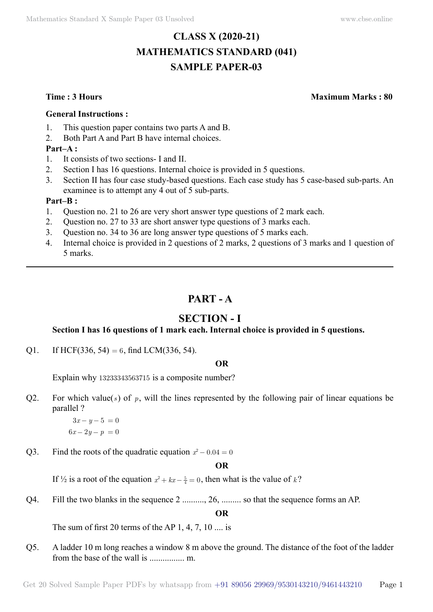# **CLASS X (2020-21) MATHEMATICS STANDARD (041) SAMPLE PAPER-03**

**Time : 3 Hours Maximum Marks : 80**

#### **General Instructions :**

- 1. This question paper contains two parts A and B.
- 2. Both Part A and Part B have internal choices.

## **Part–A :**

- 1. It consists of two sections- I and II.
- 2. Section I has 16 questions. Internal choice is provided in 5 questions.
- 3. Section II has four case study-based questions. Each case study has 5 case-based sub-parts. An examinee is to attempt any 4 out of 5 sub-parts.

## **Part–B :**

- 1. Question no. 21 to 26 are very short answer type questions of 2 mark each.
- 2. Question no. 27 to 33 are short answer type questions of 3 marks each.
- 3. Question no. 34 to 36 are long answer type questions of 5 marks each.
- 4. Internal choice is provided in 2 questions of 2 marks, 2 questions of 3 marks and 1 question of 5 marks.

# **Part - A**

# **Section - I**

## **Section I has 16 questions of 1 mark each. Internal choice is provided in 5 questions.**

Q1. If HCF(336, 54) = 6, find LCM(336, 54).

## **O**

Explain why 13233343563715 is a composite number?

Q2. For which value(s) of  $p$ , will the lines represented by the following pair of linear equations be parallel ?

> $3x - y - 5 = 0$  $6x - 2y - p = 0$

Q3. Find the roots of the quadratic equation  $x^2 - 0.04 = 0$ 

## **O**

If  $\frac{1}{2}$  is a root of the equation  $x^2 + kx - \frac{5}{4} = 0$ , then what is the value of k?

Q4. Fill the two blanks in the sequence 2 .........., 26, ......... so that the sequence forms an AP.

 **O**

The sum of first 20 terms of the AP  $1, 4, 7, 10 \dots$  is

Q5. A ladder 10 m long reaches a window 8 m above the ground. The distance of the foot of the ladder from the base of the wall is ................ m.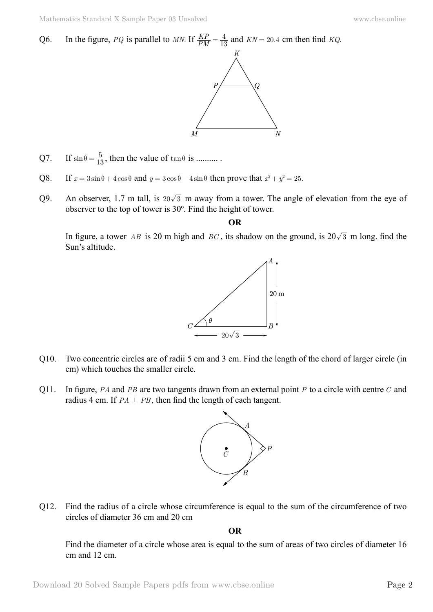Q6. In the figure, *PQ* is parallel to *MN*. If  $\frac{KP}{PM}$  $=\frac{4}{13}$  and  $KN = 20.4$  cm then find *KQ*.



- Q7. If  $\sin \theta = \frac{5}{13}$ , then the value of  $\tan \theta$  is ..........
- Q8. If  $x = 3\sin\theta + 4\cos\theta$  and  $y = 3\cos\theta 4\sin\theta$  then prove that  $x^2 + y^2 = 25$ .
- Q9. An observer, 1.7 m tall, is  $20\sqrt{3}$  m away from a tower. The angle of elevation from the eye of observer to the top of tower is 30º. Find the height of tower.

 **O**

In figure, a tower *AB* is 20 m high and *BC*, its shadow on the ground, is  $20\sqrt{3}$  m long. find the Sun's altitude.



- Q10. Two concentric circles are of radii 5 cm and 3 cm. Find the length of the chord of larger circle (in cm) which touches the smaller circle.
- Q11. In figure, *PA* and *PB* are two tangents drawn from an external point *P* to a circle with centre *C* and radius 4 cm. If  $PA \perp PB$ , then find the length of each tangent.



Q12. Find the radius of a circle whose circumference is equal to the sum of the circumference of two circles of diameter 36 cm and 20 cm

 **O**

Find the diameter of a circle whose area is equal to the sum of areas of two circles of diameter 16 cm and 12 cm.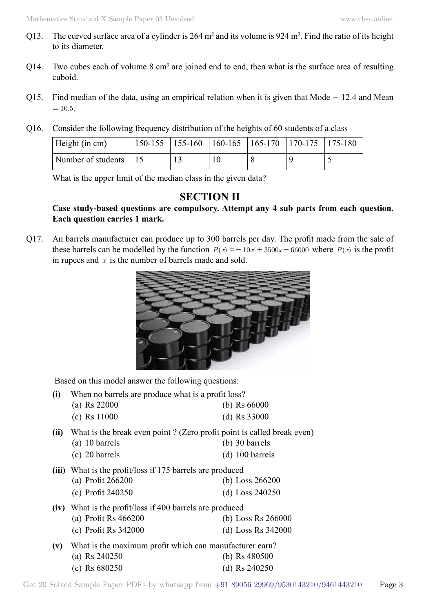- Q13. The curved surface area of a cylinder is  $264 \text{ m}^2$  and its volume is  $924 \text{ m}^3$ . Find the ratio of its height to its diameter.
- Q14. Two cubes each of volume  $8 \text{ cm}^3$  are joined end to end, then what is the surface area of resulting cuboid.
- Q15. Find median of the data, using an empirical relation when it is given that  $Mode = 12.4$  and Mean  $= 10.5.$
- Q16. Consider the following frequency distribution of the heights of 60 students of a class

| Height (in cm)           |  | $150-155$   155-160   160-165   165-170   170-175   175-180 |  |  |
|--------------------------|--|-------------------------------------------------------------|--|--|
| Number of students $ 15$ |  |                                                             |  |  |

What is the upper limit of the median class in the given data?

# **SECTION II**

## **Case study-based questions are compulsory. Attempt any 4 sub parts from each question. Each question carries 1 mark.**

Q17. An barrels manufacturer can produce up to 300 barrels per day. The profit made from the sale of these barrels can be modelled by the function  $P(x) = -10x^2 + 3500x - 66000$  where  $P(x)$  is the profit in rupees and *x* is the number of barrels made and sold.



Based on this model answer the following questions:

| (i)  | When no barrels are produce what is a profit loss?                     |                        |
|------|------------------------------------------------------------------------|------------------------|
|      | (a) Rs $22000$                                                         | (b) $\text{Rs } 66000$ |
|      | $(c)$ Rs 11000                                                         | (d) $Rs\,33000$        |
| (ii) | What is the break even point? (Zero profit point is called break even) |                        |
|      | $(a)$ 10 barrels                                                       | $(b)$ 30 barrels       |
|      | $(c)$ 20 barrels                                                       | $(d)$ 100 barrels      |
|      | (iii) What is the profit/loss if 175 barrels are produced              |                        |
|      | (a) Profit 266200                                                      | (b) Loss $266200$      |
|      | (c) Profit 240250                                                      | (d) Loss $240250$      |
| (iv) | What is the profit/loss if 400 barrels are produced                    |                        |
|      | (a) Profit Rs $466200$                                                 | (b) Loss Rs $266000$   |
|      | (c) Profit Rs $342000$                                                 | (d) Loss Rs $342000$   |
| (v)  | What is the maximum profit which can manufacturer earn?                |                        |
|      | (a) Rs $240250$                                                        | (b) Rs $480500$        |
|      | (c) Rs $680250$                                                        | (d) Rs $240250$        |
|      |                                                                        |                        |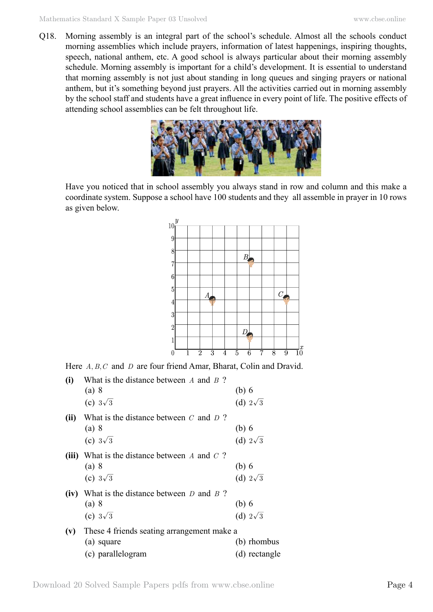Q18. Morning assembly is an integral part of the school's schedule. Almost all the schools conduct morning assemblies which include prayers, information of latest happenings, inspiring thoughts, speech, national anthem, etc. A good school is always particular about their morning assembly schedule. Morning assembly is important for a child's development. It is essential to understand that morning assembly is not just about standing in long queues and singing prayers or national anthem, but it's something beyond just prayers. All the activities carried out in morning assembly by the school staff and students have a great influence in every point of life. The positive effects of attending school assemblies can be felt throughout life.



Have you noticed that in school assembly you always stand in row and column and this make a coordinate system. Suppose a school have 100 students and they all assemble in prayer in 10 rows as given below.



Here *A, B, C* and *D* are four friend Amar, Bharat, Colin and Dravid.

| (i)  | What is the distance between $\Lambda$ and $\sigma$ ?<br>(a) 8<br>(c) $3\sqrt{3}$              | $(b)$ 6<br>(d) $2\sqrt{3}$                    |
|------|------------------------------------------------------------------------------------------------|-----------------------------------------------|
| (ii) | What is the distance between $C$ and $D$ ?<br>(a) 8                                            | $(b)$ 6                                       |
|      | (c) $3\sqrt{3}$<br>(iii) What is the distance between $A$ and $C$ ?<br>(a) 8                   | (d) $2\sqrt{3}$<br>$(b)$ 6                    |
|      | (c) $3\sqrt{3}$<br>(iv) What is the distance between $D$ and $B$ ?<br>(a) 8<br>(c) $3\sqrt{3}$ | (d) $2\sqrt{3}$<br>$(b)$ 6<br>(d) $2\sqrt{3}$ |
| (v)  | These 4 friends seating arrangement make a<br>(a) square<br>(c) parallelogram                  | (b) rhombus<br>(d) rectangle                  |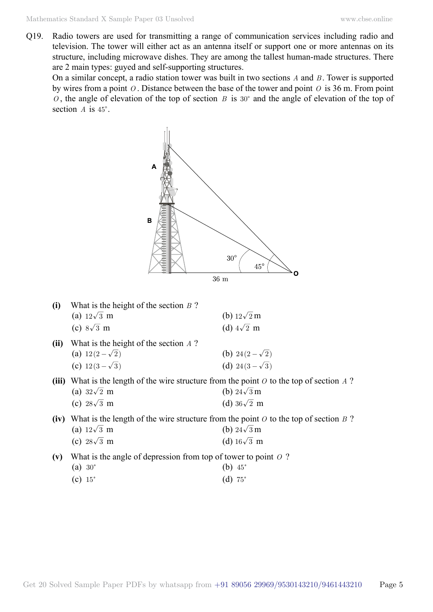Q19. Radio towers are used for transmitting a range of communication services including radio and television. The tower will either act as an antenna itself or support one or more antennas on its structure, including microwave dishes. They are among the tallest human-made structures. There are 2 main types: guyed and self-supporting structures.

On a similar concept, a radio station tower was built in two sections *A* and *B* . Tower is supported by wires from a point *O* . Distance between the base of the tower and point *O* is 36 m. From point  $O$ , the angle of elevation of the top of section *B* is 30° and the angle of elevation of the top of section  $A$  is  $45^\circ$ .



| (i)  | What is the height of the section $B$ ? |                       |
|------|-----------------------------------------|-----------------------|
|      | (a) $12\sqrt{3}$ m                      | (b) $12\sqrt{2}$ m    |
|      | (c) $8\sqrt{3}$ m                       | (d) $4\sqrt{2}$ m     |
| (ii) | What is the height of the section $A$ ? |                       |
|      | (a) $12(2-\sqrt{2})$                    | (b) 24 $(2-\sqrt{2})$ |
|      | (c) $12(3-\sqrt{3})$                    | (d) $24(3-\sqrt{3})$  |

**(iii)** What is the length of the wire structure from the point *O* to the top of section *A* ? (a)  $32\sqrt{2}$  m (b)  $24\sqrt{3}$  m

| (c) $28\sqrt{3}$ m | (d) $36\sqrt{2}$ m |
|--------------------|--------------------|
|--------------------|--------------------|

**(iv)** What is the length of the wire structure from the point *O* to the top of section *B* ? (a)  $12\sqrt{3}$  m (b)  $24\sqrt{3}$  m

| (c) $28\sqrt{3}$ m |  | (d) $16\sqrt{3}$ m |  |  |
|--------------------|--|--------------------|--|--|
|--------------------|--|--------------------|--|--|

**(v)** What is the angle of depression from top of tower to point *O* ?

- (a)  $30^{\circ}$  (b)  $45^{\circ}$
- (c)  $15^{\circ}$  (d)  $75^{\circ}$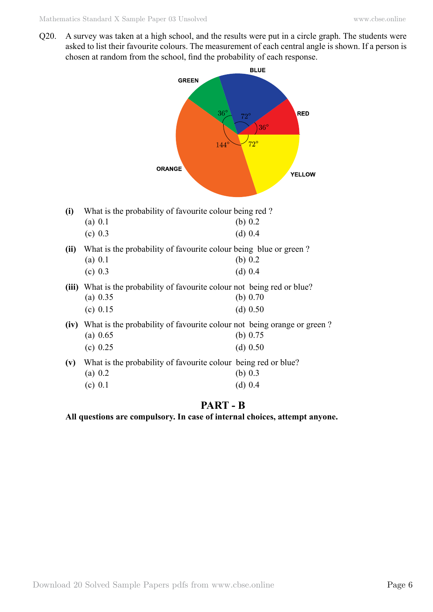Q20. A survey was taken at a high school, and the results were put in a circle graph. The students were asked to list their favourite colours. The measurement of each central angle is shown. If a person is chosen at random from the school, find the probability of each response.

|       | <b>BLUE</b>                                                                                    |                                                                           |  |  |  |  |
|-------|------------------------------------------------------------------------------------------------|---------------------------------------------------------------------------|--|--|--|--|
|       | <b>GREEN</b><br>$36^{\circ}$<br>$144^\circ$<br><b>ORANGE</b>                                   | <b>RED</b><br>$72^{\circ}$<br><b>36°</b><br>$72^{\circ}$<br><b>YELLOW</b> |  |  |  |  |
| (i)   | What is the probability of favourite colour being red?<br>(a) 0.1<br>(c) 0.3                   | (b) $0.2$<br>(d) 0.4                                                      |  |  |  |  |
| (ii)  | What is the probability of favourite colour being blue or green?<br>(a) 0.1<br>(c) 0.3         | (b) $0.2$<br>(d) 0.4                                                      |  |  |  |  |
| (iii) | What is the probability of favourite colour not being red or blue?<br>(a) 0.35<br>(c) 0.15     | (b) $0.70$<br>$(d)$ 0.50                                                  |  |  |  |  |
| (iv)  | What is the probability of favourite colour not being orange or green?<br>(a) 0.65<br>(c) 0.25 | (b) $0.75$<br>$(d)$ 0.50                                                  |  |  |  |  |
| (v)   | What is the probability of favourite colour being red or blue?<br>(a) 0.2<br>(c) 0.1           | (b) $0.3$<br>(d) 0.4                                                      |  |  |  |  |

# **Part - B**

**All questions are compulsory. In case of internal choices, attempt anyone.**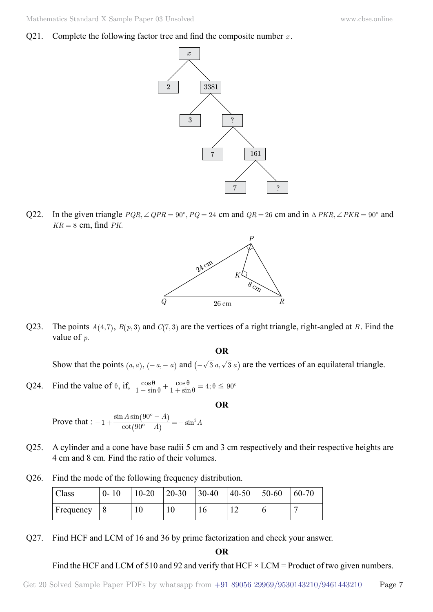Q21. Complete the following factor tree and find the composite number *x* .



Q22. In the given triangle  $PQR$ ,  $\angle QPR = 90^\circ$ ,  $PQ = 24$  cm and  $QR = 26$  cm and in  $\triangle PKR$ ,  $\angle PKR = 90^\circ$  and  $KR = 8$  cm, find *PK*.



Q23. The points  $A(4, 7)$ ,  $B(p, 3)$  and  $C(7, 3)$  are the vertices of a right triangle, right-angled at *B*. Find the value of *p*.

 **O**

Show that the points  $(a, a)$ ,  $(-a, -a)$  and  $(-\sqrt{3} a, \sqrt{3} a)$  are the vertices of an equilateral triangle.

Q24. Find the value of  $\theta$ , if,  $\frac{\cos \theta}{1 - \sin \theta} + \frac{\cos \theta}{1 + \sin \theta} = 4$ ; sin  $\frac{\cos\theta}{1-\sin\theta} + \frac{\cos\theta}{1+\sin\theta} = 4; \theta \leq 90^{\circ}$  $\frac{\cos\theta}{\theta} + \frac{\cos\theta}{1 + \sin\theta} = 4; \theta$ 

 **O**

Prove that :  $-1 + \frac{\text{sin} \lambda}{\text{cot}}$  $1 + \frac{\sin A \sin(90^\circ - A)}{\cot(90^\circ - A)} = -\sin^2 A$  $-1 + \frac{\sin A \sin (90^\circ - A)}{\cot (90^\circ - A)} = -\sin^2$  $\left( \right)$  $\big)$ 

- Q25. A cylinder and a cone have base radii 5 cm and 3 cm respectively and their respective heights are 4 cm and 8 cm. Find the ratio of their volumes.
- Q26. Find the mode of the following frequency distribution.

| Class     | $0 - 10$ | $10 - 20$ | $20 - 30$ | $130-40$ | $ 40-50 $ | 50-60 | $60 - 70$ |
|-----------|----------|-----------|-----------|----------|-----------|-------|-----------|
| Frequency |          | 10        |           |          |           |       |           |

Q27. Find HCF and LCM of 16 and 36 by prime factorization and check your answer.

 **O**

Find the HCF and LCM of 510 and 92 and verify that HCF  $\times$  LCM = Product of two given numbers.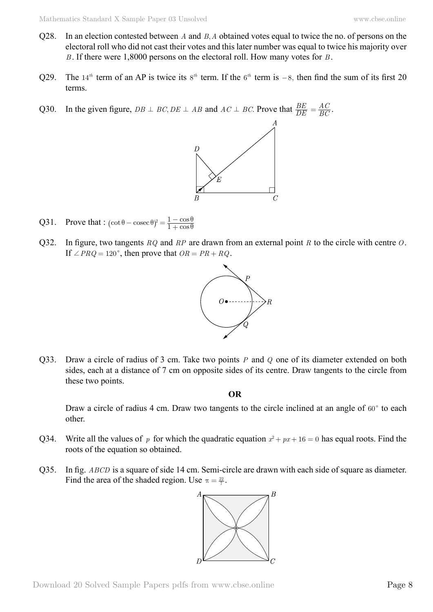- Q28. In an election contested between *A* and *B A*, obtained votes equal to twice the no. of persons on the electoral roll who did not cast their votes and this later number was equal to twice his majority over *B* . If there were 1,8000 persons on the electoral roll. How many votes for *B* .
- Q29. The 14<sup>th</sup> term of an AP is twice its  $8^{th}$  term. If the  $6^{th}$  term is  $-8$ , then find the sum of its first 20 terms.
- Q30. In the given figure,  $DB \perp BC$ ,  $DE \perp AB$  and  $AC \perp BC$ . Prove that  $\frac{BE}{DE}$  $=\frac{AC}{BC}$ .



- Q31. Prove that :  $(\cot \theta \csc \theta)^2 = \frac{1 \cos \theta}{1 + \cos \theta}$  $(\cot \theta - \csc \theta)^2 = \frac{1 - \cos \theta}{1 + \cos \theta}$
- Q32. In figure, two tangents *RQ* and *RP* are drawn from an external point *R* to the circle with centre *O*. If  $\angle PRQ = 120^{\circ}$ , then prove that  $OR = PR + RQ$ .



Q33. Draw a circle of radius of 3 cm. Take two points *P* and *Q* one of its diameter extended on both sides, each at a distance of 7 cm on opposite sides of its centre. Draw tangents to the circle from these two points.

 **O**

Draw a circle of radius 4 cm. Draw two tangents to the circle inclined at an angle of  $60^{\circ}$  to each other.

- Q34. Write all the values of *p* for which the quadratic equation  $x^2 + px + 16 = 0$  has equal roots. Find the roots of the equation so obtained.
- Q35. In fig. *ABCD* is a square of side 14 cm. Semi-circle are drawn with each side of square as diameter. Find the area of the shaded region. Use  $\pi = \frac{22}{7}$ .